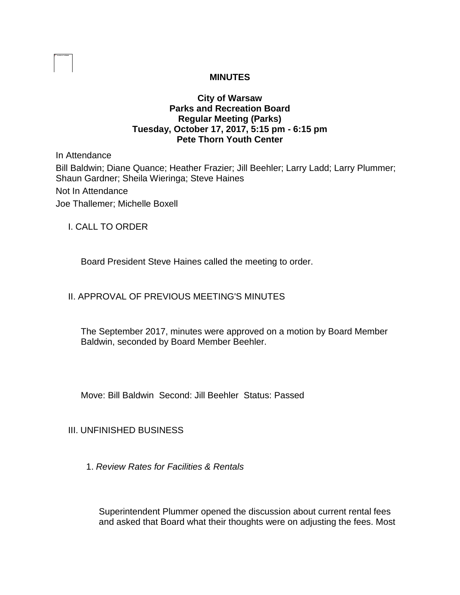# **MINUTES**

## **City of Warsaw Parks and Recreation Board Regular Meeting (Parks) Tuesday, October 17, 2017, 5:15 pm - 6:15 pm Pete Thorn Youth Center**

In Attendance Bill Baldwin; Diane Quance; Heather Frazier; Jill Beehler; Larry Ladd; Larry Plummer; Shaun Gardner; Sheila Wieringa; Steve Haines Not In Attendance Joe Thallemer; Michelle Boxell

I. CALL TO ORDER

Board President Steve Haines called the meeting to order.

# II. APPROVAL OF PREVIOUS MEETING'S MINUTES

The September 2017, minutes were approved on a motion by Board Member Baldwin, seconded by Board Member Beehler.

Move: Bill Baldwin Second: Jill Beehler Status: Passed

# III. UNFINISHED BUSINESS

1. *Review Rates for Facilities & Rentals* 

Superintendent Plummer opened the discussion about current rental fees and asked that Board what their thoughts were on adjusting the fees. Most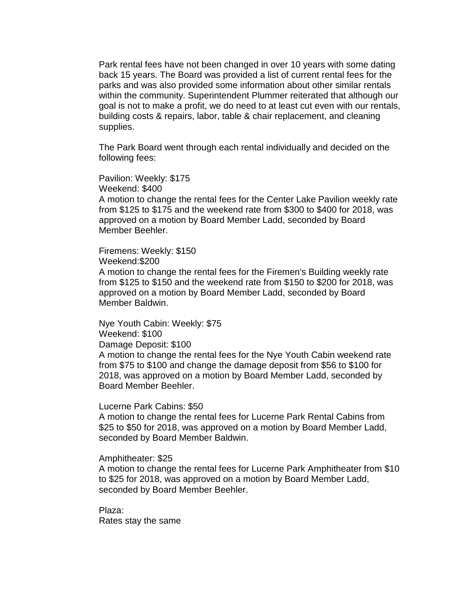Park rental fees have not been changed in over 10 years with some dating back 15 years. The Board was provided a list of current rental fees for the parks and was also provided some information about other similar rentals within the community. Superintendent Plummer reiterated that although our goal is not to make a profit, we do need to at least cut even with our rentals, building costs & repairs, labor, table & chair replacement, and cleaning supplies.

The Park Board went through each rental individually and decided on the following fees:

Pavilion: Weekly: \$175

Weekend: \$400

A motion to change the rental fees for the Center Lake Pavilion weekly rate from \$125 to \$175 and the weekend rate from \$300 to \$400 for 2018, was approved on a motion by Board Member Ladd, seconded by Board Member Beehler.

Firemens: Weekly: \$150 Weekend:\$200

A motion to change the rental fees for the Firemen's Building weekly rate from \$125 to \$150 and the weekend rate from \$150 to \$200 for 2018, was approved on a motion by Board Member Ladd, seconded by Board Member Baldwin.

Nye Youth Cabin: Weekly: \$75 Weekend: \$100 Damage Deposit: \$100

A motion to change the rental fees for the Nye Youth Cabin weekend rate from \$75 to \$100 and change the damage deposit from \$56 to \$100 for 2018, was approved on a motion by Board Member Ladd, seconded by Board Member Beehler.

Lucerne Park Cabins: \$50

A motion to change the rental fees for Lucerne Park Rental Cabins from \$25 to \$50 for 2018, was approved on a motion by Board Member Ladd, seconded by Board Member Baldwin.

Amphitheater: \$25

A motion to change the rental fees for Lucerne Park Amphitheater from \$10 to \$25 for 2018, was approved on a motion by Board Member Ladd, seconded by Board Member Beehler.

Plaza: Rates stay the same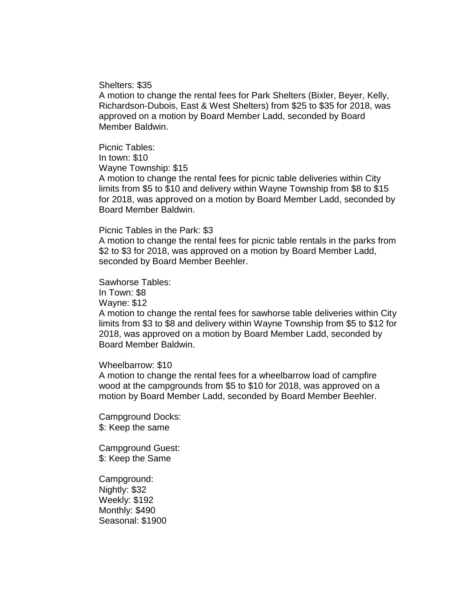Shelters: \$35

A motion to change the rental fees for Park Shelters (Bixler, Beyer, Kelly, Richardson-Dubois, East & West Shelters) from \$25 to \$35 for 2018, was approved on a motion by Board Member Ladd, seconded by Board Member Baldwin.

Picnic Tables: In town: \$10 Wayne Township: \$15 A motion to change the rental fees for picnic table deliveries within City limits from \$5 to \$10 and delivery within Wayne Township from \$8 to \$15 for 2018, was approved on a motion by Board Member Ladd, seconded by Board Member Baldwin.

#### Picnic Tables in the Park: \$3

A motion to change the rental fees for picnic table rentals in the parks from \$2 to \$3 for 2018, was approved on a motion by Board Member Ladd, seconded by Board Member Beehler.

Sawhorse Tables:

In Town: \$8

Wayne: \$12

A motion to change the rental fees for sawhorse table deliveries within City limits from \$3 to \$8 and delivery within Wayne Township from \$5 to \$12 for 2018, was approved on a motion by Board Member Ladd, seconded by Board Member Baldwin.

#### Wheelbarrow: \$10

A motion to change the rental fees for a wheelbarrow load of campfire wood at the campgrounds from \$5 to \$10 for 2018, was approved on a motion by Board Member Ladd, seconded by Board Member Beehler.

Campground Docks: \$: Keep the same

Campground Guest: \$: Keep the Same

Campground: Nightly: \$32 Weekly: \$192 Monthly: \$490 Seasonal: \$1900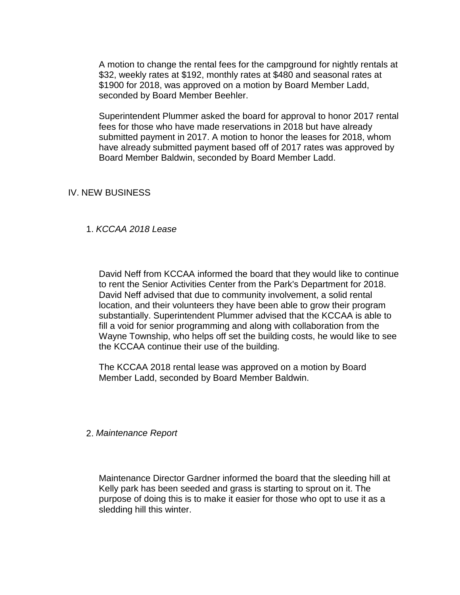A motion to change the rental fees for the campground for nightly rentals at \$32, weekly rates at \$192, monthly rates at \$480 and seasonal rates at \$1900 for 2018, was approved on a motion by Board Member Ladd, seconded by Board Member Beehler.

Superintendent Plummer asked the board for approval to honor 2017 rental fees for those who have made reservations in 2018 but have already submitted payment in 2017. A motion to honor the leases for 2018, whom have already submitted payment based off of 2017 rates was approved by Board Member Baldwin, seconded by Board Member Ladd.

### IV. NEW BUSINESS

## 1. *KCCAA 2018 Lease*

David Neff from KCCAA informed the board that they would like to continue to rent the Senior Activities Center from the Park's Department for 2018. David Neff advised that due to community involvement, a solid rental location, and their volunteers they have been able to grow their program substantially. Superintendent Plummer advised that the KCCAA is able to fill a void for senior programming and along with collaboration from the Wayne Township, who helps off set the building costs, he would like to see the KCCAA continue their use of the building.

The KCCAA 2018 rental lease was approved on a motion by Board Member Ladd, seconded by Board Member Baldwin.

#### 2. *Maintenance Report*

Maintenance Director Gardner informed the board that the sleeding hill at Kelly park has been seeded and grass is starting to sprout on it. The purpose of doing this is to make it easier for those who opt to use it as a sledding hill this winter.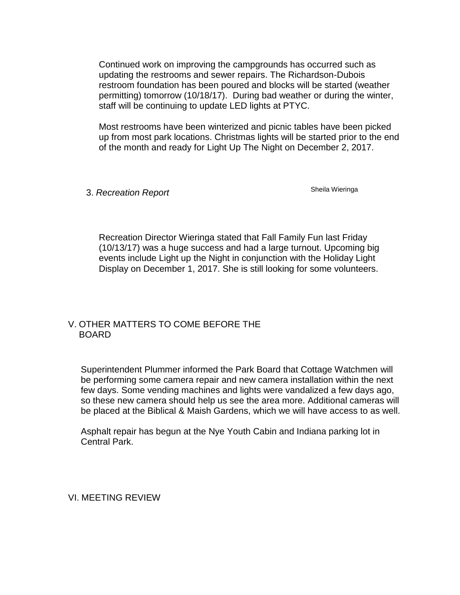Continued work on improving the campgrounds has occurred such as updating the restrooms and sewer repairs. The Richardson-Dubois restroom foundation has been poured and blocks will be started (weather permitting) tomorrow (10/18/17). During bad weather or during the winter, staff will be continuing to update LED lights at PTYC.

Most restrooms have been winterized and picnic tables have been picked up from most park locations. Christmas lights will be started prior to the end of the month and ready for Light Up The Night on December 2, 2017.

3. *Recreation Report* **Shella Wieringa** Sheila Wieringa

Recreation Director Wieringa stated that Fall Family Fun last Friday (10/13/17) was a huge success and had a large turnout. Upcoming big events include Light up the Night in conjunction with the Holiday Light Display on December 1, 2017. She is still looking for some volunteers.

# V. OTHER MATTERS TO COME BEFORE THE BOARD

Superintendent Plummer informed the Park Board that Cottage Watchmen will be performing some camera repair and new camera installation within the next few days. Some vending machines and lights were vandalized a few days ago, so these new camera should help us see the area more. Additional cameras will be placed at the Biblical & Maish Gardens, which we will have access to as well.

Asphalt repair has begun at the Nye Youth Cabin and Indiana parking lot in Central Park.

VI. MEETING REVIEW